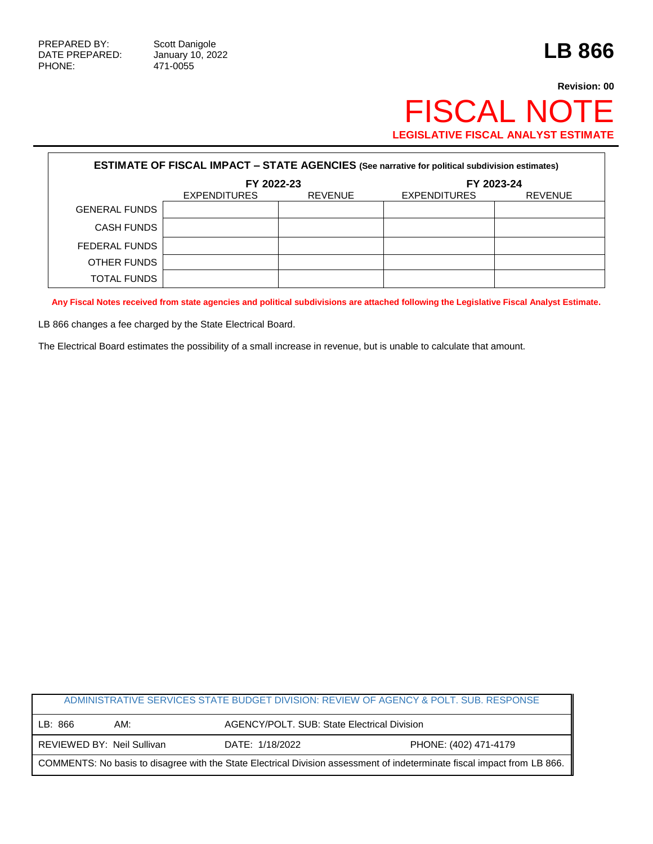471-0055

## **Revision: 00** FISCAL NOTE **LEGISLATIVE FISCAL ANALYST ESTIMATE**

| <b>ESTIMATE OF FISCAL IMPACT - STATE AGENCIES (See narrative for political subdivision estimates)</b> |                     |                |                     |                |  |  |
|-------------------------------------------------------------------------------------------------------|---------------------|----------------|---------------------|----------------|--|--|
|                                                                                                       | FY 2022-23          |                | FY 2023-24          |                |  |  |
|                                                                                                       | <b>EXPENDITURES</b> | <b>REVENUE</b> | <b>EXPENDITURES</b> | <b>REVENUE</b> |  |  |
| <b>GENERAL FUNDS</b>                                                                                  |                     |                |                     |                |  |  |
| <b>CASH FUNDS</b>                                                                                     |                     |                |                     |                |  |  |
| FEDERAL FUNDS                                                                                         |                     |                |                     |                |  |  |
| OTHER FUNDS                                                                                           |                     |                |                     |                |  |  |
| TOTAL FUNDS                                                                                           |                     |                |                     |                |  |  |

**Any Fiscal Notes received from state agencies and political subdivisions are attached following the Legislative Fiscal Analyst Estimate.**

LB 866 changes a fee charged by the State Electrical Board.

The Electrical Board estimates the possibility of a small increase in revenue, but is unable to calculate that amount.

|                                                                                                                          |     | ADMINISTRATIVE SERVICES STATE BUDGET DIVISION: REVIEW OF AGENCY & POLT, SUB, RESPONSE |                       |  |
|--------------------------------------------------------------------------------------------------------------------------|-----|---------------------------------------------------------------------------------------|-----------------------|--|
| LB: 866                                                                                                                  | AM: | AGENCY/POLT. SUB: State Electrical Division                                           |                       |  |
| REVIEWED BY: Neil Sullivan                                                                                               |     | DATE: 1/18/2022                                                                       | PHONE: (402) 471-4179 |  |
| COMMENTS: No basis to disagree with the State Electrical Division assessment of indeterminate fiscal impact from LB 866. |     |                                                                                       |                       |  |